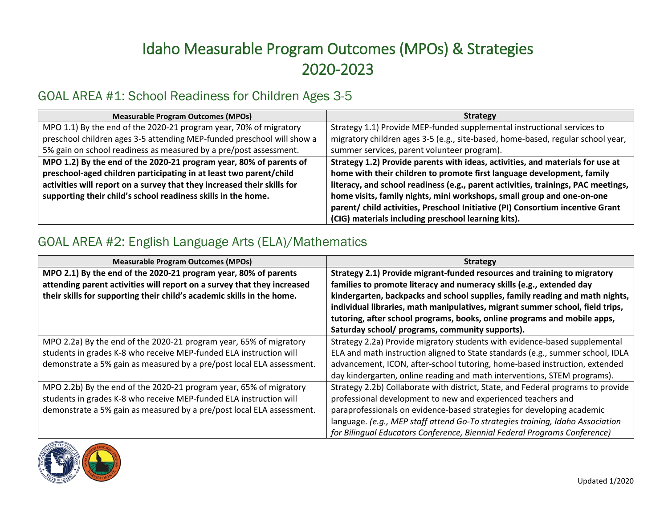# Idaho Measurable Program Outcomes (MPOs) & Strategies 2020-2023

#### GOAL AREA #1: School Readiness for Children Ages 3-5

| <b>Measurable Program Outcomes (MPOs)</b>                               | <b>Strategy</b>                                                                   |
|-------------------------------------------------------------------------|-----------------------------------------------------------------------------------|
| MPO 1.1) By the end of the 2020-21 program year, 70% of migratory       | Strategy 1.1) Provide MEP-funded supplemental instructional services to           |
| preschool children ages 3-5 attending MEP-funded preschool will show a  | migratory children ages 3-5 (e.g., site-based, home-based, regular school year,   |
| 5% gain on school readiness as measured by a pre/post assessment.       | summer services, parent volunteer program).                                       |
| MPO 1.2) By the end of the 2020-21 program year, 80% of parents of      | Strategy 1.2) Provide parents with ideas, activities, and materials for use at    |
| preschool-aged children participating in at least two parent/child      | home with their children to promote first language development, family            |
| activities will report on a survey that they increased their skills for | literacy, and school readiness (e.g., parent activities, trainings, PAC meetings, |
| supporting their child's school readiness skills in the home.           | home visits, family nights, mini workshops, small group and one-on-one            |
|                                                                         | parent/ child activities, Preschool Initiative (PI) Consortium incentive Grant    |
|                                                                         | (CIG) materials including preschool learning kits).                               |

### GOAL AREA #2: English Language Arts (ELA)/Mathematics

| <b>Measurable Program Outcomes (MPOs)</b>                               | <b>Strategy</b>                                                                  |
|-------------------------------------------------------------------------|----------------------------------------------------------------------------------|
| MPO 2.1) By the end of the 2020-21 program year, 80% of parents         | Strategy 2.1) Provide migrant-funded resources and training to migratory         |
| attending parent activities will report on a survey that they increased | families to promote literacy and numeracy skills (e.g., extended day             |
| their skills for supporting their child's academic skills in the home.  | kindergarten, backpacks and school supplies, family reading and math nights,     |
|                                                                         | individual libraries, math manipulatives, migrant summer school, field trips,    |
|                                                                         | tutoring, after school programs, books, online programs and mobile apps,         |
|                                                                         | Saturday school/ programs, community supports).                                  |
| MPO 2.2a) By the end of the 2020-21 program year, 65% of migratory      | Strategy 2.2a) Provide migratory students with evidence-based supplemental       |
| students in grades K-8 who receive MEP-funded ELA instruction will      | ELA and math instruction aligned to State standards (e.g., summer school, IDLA   |
| demonstrate a 5% gain as measured by a pre/post local ELA assessment.   | advancement, ICON, after-school tutoring, home-based instruction, extended       |
|                                                                         | day kindergarten, online reading and math interventions, STEM programs).         |
| MPO 2.2b) By the end of the 2020-21 program year, 65% of migratory      | Strategy 2.2b) Collaborate with district, State, and Federal programs to provide |
| students in grades K-8 who receive MEP-funded ELA instruction will      | professional development to new and experienced teachers and                     |
| demonstrate a 5% gain as measured by a pre/post local ELA assessment.   | paraprofessionals on evidence-based strategies for developing academic           |
|                                                                         | language. (e.g., MEP staff attend Go-To strategies training, Idaho Association   |
|                                                                         | for Bilingual Educators Conference, Biennial Federal Programs Conference)        |

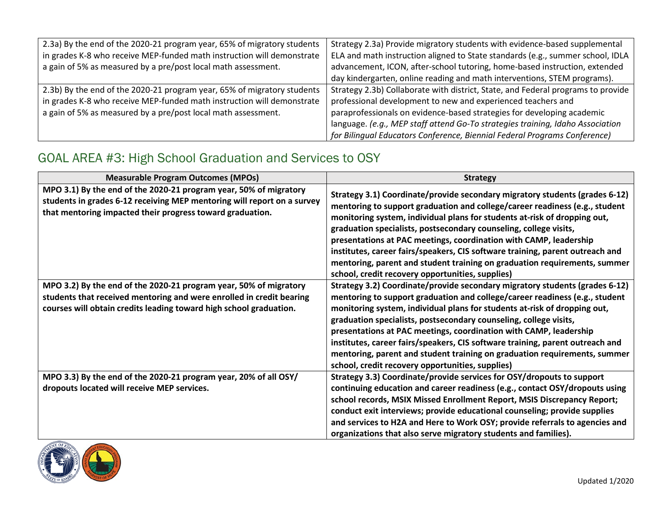| 2.3a) By the end of the 2020-21 program year, 65% of migratory students<br>in grades K-8 who receive MEP-funded math instruction will demonstrate<br>a gain of 5% as measured by a pre/post local math assessment. | Strategy 2.3a) Provide migratory students with evidence-based supplemental<br>ELA and math instruction aligned to State standards (e.g., summer school, IDLA<br>advancement, ICON, after-school tutoring, home-based instruction, extended<br>day kindergarten, online reading and math interventions, STEM programs).                                                                    |
|--------------------------------------------------------------------------------------------------------------------------------------------------------------------------------------------------------------------|-------------------------------------------------------------------------------------------------------------------------------------------------------------------------------------------------------------------------------------------------------------------------------------------------------------------------------------------------------------------------------------------|
| 2.3b) By the end of the 2020-21 program year, 65% of migratory students<br>in grades K-8 who receive MEP-funded math instruction will demonstrate<br>a gain of 5% as measured by a pre/post local math assessment. | Strategy 2.3b) Collaborate with district, State, and Federal programs to provide<br>professional development to new and experienced teachers and<br>paraprofessionals on evidence-based strategies for developing academic<br>language. (e.g., MEP staff attend Go-To strategies training, Idaho Association<br>for Bilingual Educators Conference, Biennial Federal Programs Conference) |

## GOAL AREA #3: High School Graduation and Services to OSY

| <b>Measurable Program Outcomes (MPOs)</b>                                                                                                                                                                       | <b>Strategy</b>                                                                                                                                                                                                                                                                                                                                                                                                                                                                                                                                                                                     |
|-----------------------------------------------------------------------------------------------------------------------------------------------------------------------------------------------------------------|-----------------------------------------------------------------------------------------------------------------------------------------------------------------------------------------------------------------------------------------------------------------------------------------------------------------------------------------------------------------------------------------------------------------------------------------------------------------------------------------------------------------------------------------------------------------------------------------------------|
| MPO 3.1) By the end of the 2020-21 program year, 50% of migratory<br>students in grades 6-12 receiving MEP mentoring will report on a survey<br>that mentoring impacted their progress toward graduation.       | Strategy 3.1) Coordinate/provide secondary migratory students (grades 6-12)<br>mentoring to support graduation and college/career readiness (e.g., student<br>monitoring system, individual plans for students at-risk of dropping out,<br>graduation specialists, postsecondary counseling, college visits,<br>presentations at PAC meetings, coordination with CAMP, leadership<br>institutes, career fairs/speakers, CIS software training, parent outreach and<br>mentoring, parent and student training on graduation requirements, summer<br>school, credit recovery opportunities, supplies) |
| MPO 3.2) By the end of the 2020-21 program year, 50% of migratory<br>students that received mentoring and were enrolled in credit bearing<br>courses will obtain credits leading toward high school graduation. | Strategy 3.2) Coordinate/provide secondary migratory students (grades 6-12)<br>mentoring to support graduation and college/career readiness (e.g., student<br>monitoring system, individual plans for students at-risk of dropping out,<br>graduation specialists, postsecondary counseling, college visits,<br>presentations at PAC meetings, coordination with CAMP, leadership<br>institutes, career fairs/speakers, CIS software training, parent outreach and<br>mentoring, parent and student training on graduation requirements, summer<br>school, credit recovery opportunities, supplies) |
| MPO 3.3) By the end of the 2020-21 program year, 20% of all OSY/<br>dropouts located will receive MEP services.                                                                                                 | Strategy 3.3) Coordinate/provide services for OSY/dropouts to support<br>continuing education and career readiness (e.g., contact OSY/dropouts using<br>school records, MSIX Missed Enrollment Report, MSIS Discrepancy Report;<br>conduct exit interviews; provide educational counseling; provide supplies<br>and services to H2A and Here to Work OSY; provide referrals to agencies and<br>organizations that also serve migratory students and families).                                                                                                                                      |